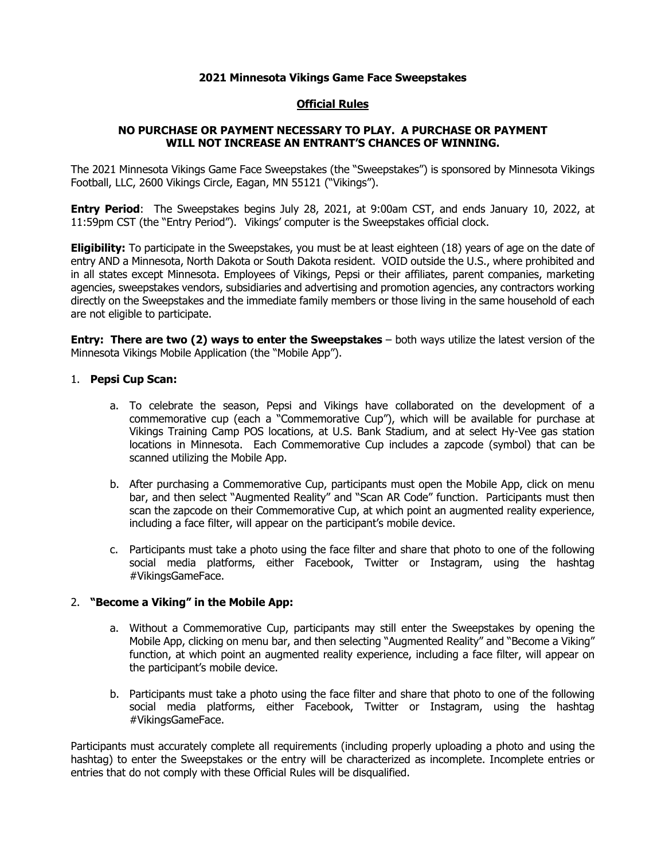## **2021 Minnesota Vikings Game Face Sweepstakes**

## **Official Rules**

# **NO PURCHASE OR PAYMENT NECESSARY TO PLAY. A PURCHASE OR PAYMENT WILL NOT INCREASE AN ENTRANT'S CHANCES OF WINNING.**

The 2021 Minnesota Vikings Game Face Sweepstakes (the "Sweepstakes") is sponsored by Minnesota Vikings Football, LLC, 2600 Vikings Circle, Eagan, MN 55121 ("Vikings").

**Entry Period**: The Sweepstakes begins July 28, 2021, at 9:00am CST, and ends January 10, 2022, at 11:59pm CST (the "Entry Period"). Vikings' computer is the Sweepstakes official clock.

**Eligibility:** To participate in the Sweepstakes, you must be at least eighteen (18) years of age on the date of entry AND a Minnesota, North Dakota or South Dakota resident. VOID outside the U.S., where prohibited and in all states except Minnesota. Employees of Vikings, Pepsi or their affiliates, parent companies, marketing agencies, sweepstakes vendors, subsidiaries and advertising and promotion agencies, any contractors working directly on the Sweepstakes and the immediate family members or those living in the same household of each are not eligible to participate.

**Entry: There are two (2) ways to enter the Sweepstakes** – both ways utilize the latest version of the Minnesota Vikings Mobile Application (the "Mobile App").

### 1. **Pepsi Cup Scan:**

- a. To celebrate the season, Pepsi and Vikings have collaborated on the development of a commemorative cup (each a "Commemorative Cup"), which will be available for purchase at Vikings Training Camp POS locations, at U.S. Bank Stadium, and at select Hy-Vee gas station locations in Minnesota. Each Commemorative Cup includes a zapcode (symbol) that can be scanned utilizing the Mobile App.
- b. After purchasing a Commemorative Cup, participants must open the Mobile App, click on menu bar, and then select "Augmented Reality" and "Scan AR Code" function. Participants must then scan the zapcode on their Commemorative Cup, at which point an augmented reality experience, including a face filter, will appear on the participant's mobile device.
- c. Participants must take a photo using the face filter and share that photo to one of the following social media platforms, either Facebook, Twitter or Instagram, using the hashtag #VikingsGameFace.

#### 2. **"Become a Viking" in the Mobile App:**

- a. Without a Commemorative Cup, participants may still enter the Sweepstakes by opening the Mobile App, clicking on menu bar, and then selecting "Augmented Reality" and "Become a Viking" function, at which point an augmented reality experience, including a face filter, will appear on the participant's mobile device.
- b. Participants must take a photo using the face filter and share that photo to one of the following social media platforms, either Facebook, Twitter or Instagram, using the hashtag #VikingsGameFace.

Participants must accurately complete all requirements (including properly uploading a photo and using the hashtag) to enter the Sweepstakes or the entry will be characterized as incomplete. Incomplete entries or entries that do not comply with these Official Rules will be disqualified.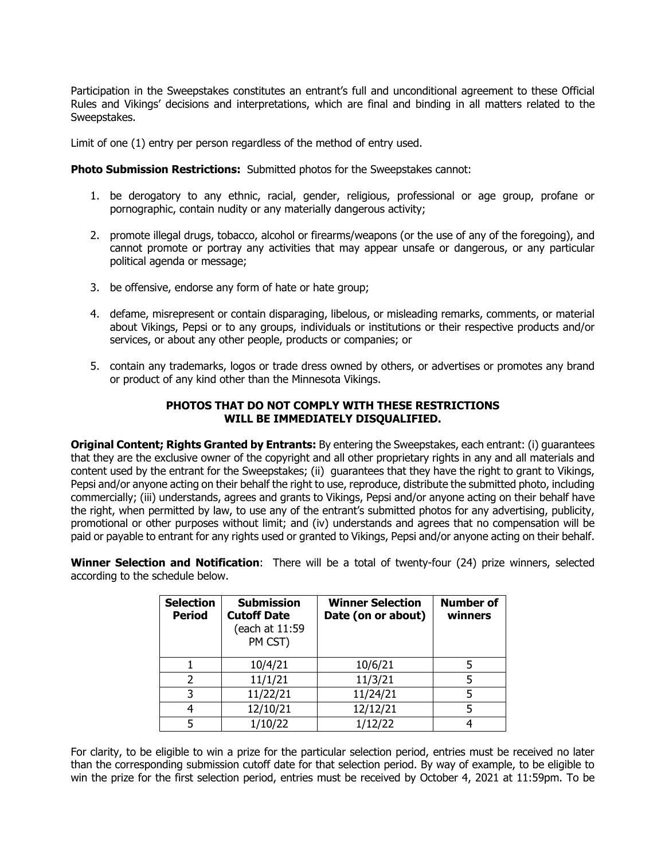Participation in the Sweepstakes constitutes an entrant's full and unconditional agreement to these Official Rules and Vikings' decisions and interpretations, which are final and binding in all matters related to the Sweepstakes.

Limit of one (1) entry per person regardless of the method of entry used.

**Photo Submission Restrictions:** Submitted photos for the Sweepstakes cannot:

- 1. be derogatory to any ethnic, racial, gender, religious, professional or age group, profane or pornographic, contain nudity or any materially dangerous activity;
- 2. promote illegal drugs, tobacco, alcohol or firearms/weapons (or the use of any of the foregoing), and cannot promote or portray any activities that may appear unsafe or dangerous, or any particular political agenda or message;
- 3. be offensive, endorse any form of hate or hate group;
- 4. defame, misrepresent or contain disparaging, libelous, or misleading remarks, comments, or material about Vikings, Pepsi or to any groups, individuals or institutions or their respective products and/or services, or about any other people, products or companies; or
- 5. contain any trademarks, logos or trade dress owned by others, or advertises or promotes any brand or product of any kind other than the Minnesota Vikings.

# **PHOTOS THAT DO NOT COMPLY WITH THESE RESTRICTIONS WILL BE IMMEDIATELY DISQUALIFIED.**

**Original Content; Rights Granted by Entrants:** By entering the Sweepstakes, each entrant: (i) guarantees that they are the exclusive owner of the copyright and all other proprietary rights in any and all materials and content used by the entrant for the Sweepstakes; (ii) guarantees that they have the right to grant to Vikings, Pepsi and/or anyone acting on their behalf the right to use, reproduce, distribute the submitted photo, including commercially; (iii) understands, agrees and grants to Vikings, Pepsi and/or anyone acting on their behalf have the right, when permitted by law, to use any of the entrant's submitted photos for any advertising, publicity, promotional or other purposes without limit; and (iv) understands and agrees that no compensation will be paid or payable to entrant for any rights used or granted to Vikings, Pepsi and/or anyone acting on their behalf.

**Winner Selection and Notification**:There will be a total of twenty-four (24) prize winners, selected according to the schedule below.

| <b>Selection</b><br><b>Period</b> | <b>Submission</b><br><b>Cutoff Date</b><br>(each at 11:59<br>PM CST) | <b>Winner Selection</b><br>Date (on or about) | <b>Number of</b><br>winners |
|-----------------------------------|----------------------------------------------------------------------|-----------------------------------------------|-----------------------------|
|                                   | 10/4/21                                                              | 10/6/21                                       |                             |
|                                   | 11/1/21                                                              | 11/3/21                                       |                             |
|                                   | 11/22/21                                                             | 11/24/21                                      |                             |
|                                   | 12/10/21                                                             | 12/12/21                                      |                             |
|                                   | 1/10/22                                                              | 1/12/22                                       |                             |

For clarity, to be eligible to win a prize for the particular selection period, entries must be received no later than the corresponding submission cutoff date for that selection period. By way of example, to be eligible to win the prize for the first selection period, entries must be received by October 4, 2021 at 11:59pm. To be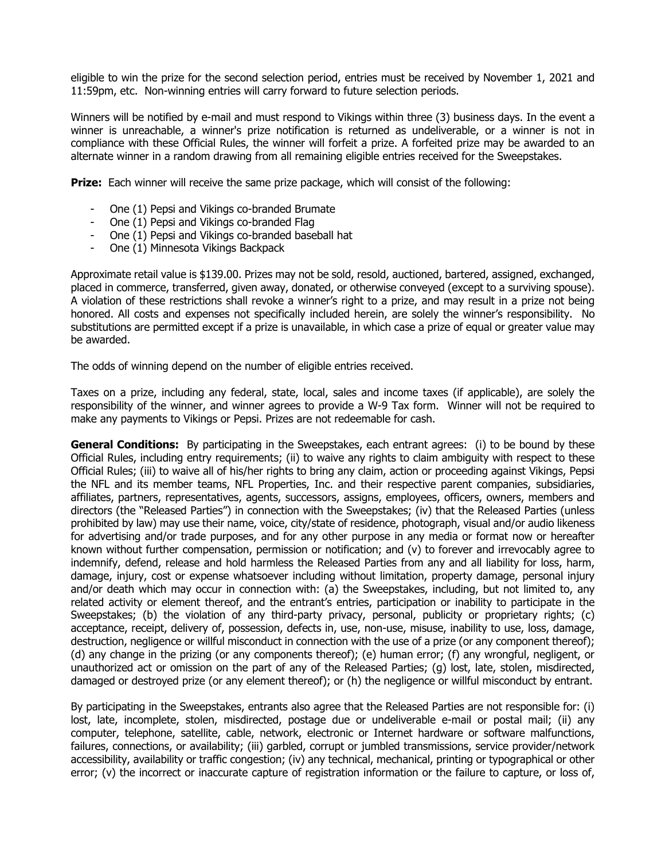eligible to win the prize for the second selection period, entries must be received by November 1, 2021 and 11:59pm, etc. Non-winning entries will carry forward to future selection periods.

Winners will be notified by e-mail and must respond to Vikings within three (3) business days. In the event a winner is unreachable, a winner's prize notification is returned as undeliverable, or a winner is not in compliance with these Official Rules, the winner will forfeit a prize. A forfeited prize may be awarded to an alternate winner in a random drawing from all remaining eligible entries received for the Sweepstakes.

**Prize:** Each winner will receive the same prize package, which will consist of the following:

- One (1) Pepsi and Vikings co-branded Brumate
- One (1) Pepsi and Vikings co-branded Flag
- One (1) Pepsi and Vikings co-branded baseball hat
- One (1) Minnesota Vikings Backpack

Approximate retail value is \$139.00. Prizes may not be sold, resold, auctioned, bartered, assigned, exchanged, placed in commerce, transferred, given away, donated, or otherwise conveyed (except to a surviving spouse). A violation of these restrictions shall revoke a winner's right to a prize, and may result in a prize not being honored. All costs and expenses not specifically included herein, are solely the winner's responsibility. No substitutions are permitted except if a prize is unavailable, in which case a prize of equal or greater value may be awarded.

The odds of winning depend on the number of eligible entries received.

Taxes on a prize, including any federal, state, local, sales and income taxes (if applicable), are solely the responsibility of the winner, and winner agrees to provide a W-9 Tax form. Winner will not be required to make any payments to Vikings or Pepsi. Prizes are not redeemable for cash.

**General Conditions:** By participating in the Sweepstakes, each entrant agrees: (i) to be bound by these Official Rules, including entry requirements; (ii) to waive any rights to claim ambiguity with respect to these Official Rules; (iii) to waive all of his/her rights to bring any claim, action or proceeding against Vikings, Pepsi the NFL and its member teams, NFL Properties, Inc. and their respective parent companies, subsidiaries, affiliates, partners, representatives, agents, successors, assigns, employees, officers, owners, members and directors (the "Released Parties") in connection with the Sweepstakes; (iv) that the Released Parties (unless prohibited by law) may use their name, voice, city/state of residence, photograph, visual and/or audio likeness for advertising and/or trade purposes, and for any other purpose in any media or format now or hereafter known without further compensation, permission or notification; and (v) to forever and irrevocably agree to indemnify, defend, release and hold harmless the Released Parties from any and all liability for loss, harm, damage, injury, cost or expense whatsoever including without limitation, property damage, personal injury and/or death which may occur in connection with: (a) the Sweepstakes, including, but not limited to, any related activity or element thereof, and the entrant's entries, participation or inability to participate in the Sweepstakes; (b) the violation of any third-party privacy, personal, publicity or proprietary rights; (c) acceptance, receipt, delivery of, possession, defects in, use, non-use, misuse, inability to use, loss, damage, destruction, negligence or willful misconduct in connection with the use of a prize (or any component thereof); (d) any change in the prizing (or any components thereof); (e) human error; (f) any wrongful, negligent, or unauthorized act or omission on the part of any of the Released Parties; (g) lost, late, stolen, misdirected, damaged or destroyed prize (or any element thereof); or (h) the negligence or willful misconduct by entrant.

By participating in the Sweepstakes, entrants also agree that the Released Parties are not responsible for: (i) lost, late, incomplete, stolen, misdirected, postage due or undeliverable e-mail or postal mail; (ii) any computer, telephone, satellite, cable, network, electronic or Internet hardware or software malfunctions, failures, connections, or availability; (iii) garbled, corrupt or jumbled transmissions, service provider/network accessibility, availability or traffic congestion; (iv) any technical, mechanical, printing or typographical or other error; (v) the incorrect or inaccurate capture of registration information or the failure to capture, or loss of,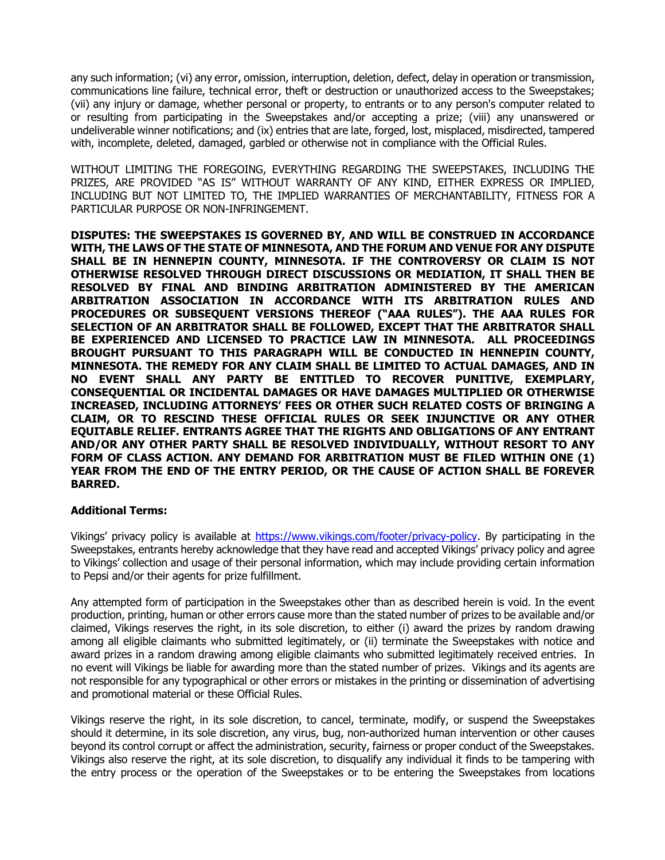any such information; (vi) any error, omission, interruption, deletion, defect, delay in operation or transmission, communications line failure, technical error, theft or destruction or unauthorized access to the Sweepstakes; (vii) any injury or damage, whether personal or property, to entrants or to any person's computer related to or resulting from participating in the Sweepstakes and/or accepting a prize; (viii) any unanswered or undeliverable winner notifications; and (ix) entries that are late, forged, lost, misplaced, misdirected, tampered with, incomplete, deleted, damaged, garbled or otherwise not in compliance with the Official Rules.

WITHOUT LIMITING THE FOREGOING, EVERYTHING REGARDING THE SWEEPSTAKES, INCLUDING THE PRIZES, ARE PROVIDED "AS IS" WITHOUT WARRANTY OF ANY KIND, EITHER EXPRESS OR IMPLIED, INCLUDING BUT NOT LIMITED TO, THE IMPLIED WARRANTIES OF MERCHANTABILITY, FITNESS FOR A PARTICULAR PURPOSE OR NON-INFRINGEMENT.

**DISPUTES: THE SWEEPSTAKES IS GOVERNED BY, AND WILL BE CONSTRUED IN ACCORDANCE WITH, THE LAWS OF THE STATE OF MINNESOTA, AND THE FORUM AND VENUE FOR ANY DISPUTE SHALL BE IN HENNEPIN COUNTY, MINNESOTA. IF THE CONTROVERSY OR CLAIM IS NOT OTHERWISE RESOLVED THROUGH DIRECT DISCUSSIONS OR MEDIATION, IT SHALL THEN BE RESOLVED BY FINAL AND BINDING ARBITRATION ADMINISTERED BY THE AMERICAN ARBITRATION ASSOCIATION IN ACCORDANCE WITH ITS ARBITRATION RULES AND PROCEDURES OR SUBSEQUENT VERSIONS THEREOF ("AAA RULES"). THE AAA RULES FOR SELECTION OF AN ARBITRATOR SHALL BE FOLLOWED, EXCEPT THAT THE ARBITRATOR SHALL BE EXPERIENCED AND LICENSED TO PRACTICE LAW IN MINNESOTA. ALL PROCEEDINGS BROUGHT PURSUANT TO THIS PARAGRAPH WILL BE CONDUCTED IN HENNEPIN COUNTY, MINNESOTA. THE REMEDY FOR ANY CLAIM SHALL BE LIMITED TO ACTUAL DAMAGES, AND IN NO EVENT SHALL ANY PARTY BE ENTITLED TO RECOVER PUNITIVE, EXEMPLARY, CONSEQUENTIAL OR INCIDENTAL DAMAGES OR HAVE DAMAGES MULTIPLIED OR OTHERWISE INCREASED, INCLUDING ATTORNEYS' FEES OR OTHER SUCH RELATED COSTS OF BRINGING A CLAIM, OR TO RESCIND THESE OFFICIAL RULES OR SEEK INJUNCTIVE OR ANY OTHER EQUITABLE RELIEF. ENTRANTS AGREE THAT THE RIGHTS AND OBLIGATIONS OF ANY ENTRANT AND/OR ANY OTHER PARTY SHALL BE RESOLVED INDIVIDUALLY, WITHOUT RESORT TO ANY FORM OF CLASS ACTION. ANY DEMAND FOR ARBITRATION MUST BE FILED WITHIN ONE (1) YEAR FROM THE END OF THE ENTRY PERIOD, OR THE CAUSE OF ACTION SHALL BE FOREVER BARRED.**

# **Additional Terms:**

Vikings' privacy policy is available at https://www.vikings.com/footer/privacy-policy. By participating in the Sweepstakes, entrants hereby acknowledge that they have read and accepted Vikings' privacy policy and agree to Vikings' collection and usage of their personal information, which may include providing certain information to Pepsi and/or their agents for prize fulfillment.

Any attempted form of participation in the Sweepstakes other than as described herein is void. In the event production, printing, human or other errors cause more than the stated number of prizes to be available and/or claimed, Vikings reserves the right, in its sole discretion, to either (i) award the prizes by random drawing among all eligible claimants who submitted legitimately, or (ii) terminate the Sweepstakes with notice and award prizes in a random drawing among eligible claimants who submitted legitimately received entries. In no event will Vikings be liable for awarding more than the stated number of prizes. Vikings and its agents are not responsible for any typographical or other errors or mistakes in the printing or dissemination of advertising and promotional material or these Official Rules.

Vikings reserve the right, in its sole discretion, to cancel, terminate, modify, or suspend the Sweepstakes should it determine, in its sole discretion, any virus, bug, non-authorized human intervention or other causes beyond its control corrupt or affect the administration, security, fairness or proper conduct of the Sweepstakes. Vikings also reserve the right, at its sole discretion, to disqualify any individual it finds to be tampering with the entry process or the operation of the Sweepstakes or to be entering the Sweepstakes from locations